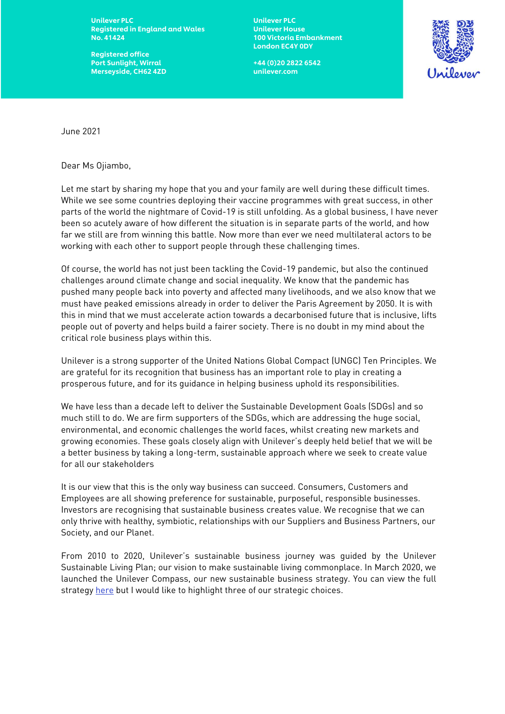Unilever PLC Unilever PLC Registered in England and Wales **Unilever House** No. 41424 100 Victoria Embankment

Registered office Port Sunlight, Wirral +44 (0)20 2822 6542 Merseyside, CH62 4ZD unilever.com

London EC4Y 0DY



June 2021

Dear Ms Ojiambo,

Let me start by sharing my hope that you and your family are well during these difficult times. While we see some countries deploying their vaccine programmes with great success, in other parts of the world the nightmare of Covid-19 is still unfolding. As a global business, I have never been so acutely aware of how different the situation is in separate parts of the world, and how far we still are from winning this battle. Now more than ever we need multilateral actors to be working with each other to support people through these challenging times.

Of course, the world has not just been tackling the Covid-19 pandemic, but also the continued challenges around climate change and social inequality. We know that the pandemic has pushed many people back into poverty and affected many livelihoods, and we also know that we must have peaked emissions already in order to deliver the Paris Agreement by 2050. It is with this in mind that we must accelerate action towards a decarbonised future that is inclusive, lifts people out of poverty and helps build a fairer society. There is no doubt in my mind about the critical role business plays within this.

Unilever is a strong supporter of the United Nations Global Compact (UNGC) Ten Principles. We are grateful for its recognition that business has an important role to play in creating a prosperous future, and for its guidance in helping business uphold its responsibilities.

We have less than a decade left to deliver the Sustainable Development Goals (SDGs) and so much still to do. We are firm supporters of the SDGs, which are addressing the huge social, environmental, and economic challenges the world faces, whilst creating new markets and growing economies. These goals closely align with Unilever's deeply held belief that we will be a better business by taking a long-term, sustainable approach where we seek to create value for all our stakeholders

It is our view that this is the only way business can succeed. Consumers, Customers and Employees are all showing preference for sustainable, purposeful, responsible businesses. Investors are recognising that sustainable business creates value. We recognise that we can only thrive with healthy, symbiotic, relationships with our Suppliers and Business Partners, our Society, and our Planet.

From 2010 to 2020, Unilever's sustainable business journey was guided by the Unilever Sustainable Living Plan; our vision to make sustainable living commonplace. In March 2020, we launched the Unilever Compass, our new sustainable business strategy. You can view the full strateg[y here](https://assets.unilever.com/files/92ui5egz/production/9a05104f74cda624c168b7898090b04ae6508926.pdf/Compass-Strategy.pdf) but I would like to highlight three of our strategic choices.